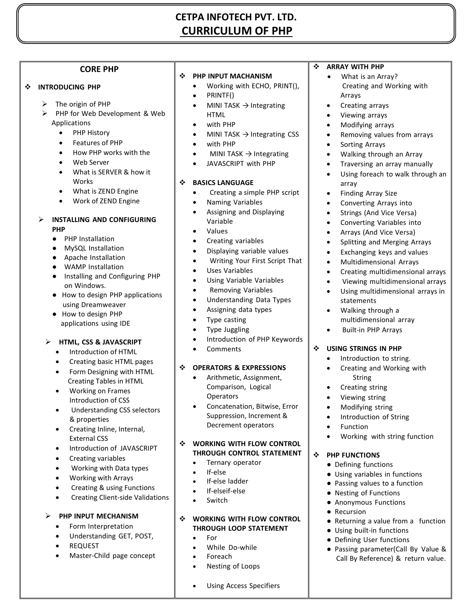# **CETPA INFOTECH PVT. LTD. CURRICULUM OF PHP**

#### **CORE PHP**

#### **INTRODUCING PHP**

- $\triangleright$  The origin of PHP
- PHP for Web Development & Web Applications
	- PHP History
	- Features of PHP
	- How PHP works with the
	- Web Server
	- What is SERVER & how it Works
	- What is ZEND Engine
	- Work of ZEND Engine

#### **INSTALLING AND CONFIGURING PHP**

- PHP Installation
- **MySQL Installation**
- Apache Installation
- WAMP Installation
- Installing and Configuring PHP on Windows.
- How to design PHP applications using Dreamweaver
- How to design PHP applications using IDE

#### **HTML, CSS & JAVASCRIPT**

- Introduction of HTML
- Creating basic HTML pages
- Form Designing with HTML Creating Tables in HTML
- Working on Frames Introduction of CSS
- Understanding CSS selectors & properties
- Creating Inline, Internal, External CSS
- Introduction of JAVASCRIPT
- Creating variables
- Working with Data types
- Working with Arrays
- Creating & using Functions
- Creating Client-side Validations
- **PHP INPUT MECHANISM**
	- Form Interpretation
	- Understanding GET, POST,
	- REQUEST
	- Master-Child page concept

#### **PHP INPUT MACHANISM**

- Working with ECHO, PRINT(),
	- PRINTF()

- MINI TASK  $\rightarrow$  Integrating HTML
- with PHP
- MINI TASK  $\rightarrow$  Integrating CSS
- with PHP
- MINI TASK  $\rightarrow$  Integrating
- JAVASCRIPT with PHP

## **BASICS LANGUAGE**

- Creating a simple PHP script
- Naming Variables
- Assigning and Displaying Variable
- Values
- Creating variables
- Displaying variable values
- Writing Your First Script That
- Uses Variables
- Using Variable Variables
- Removing Variables
- Understanding Data Types
- Assigning data types
- Type casting
- Type Juggling
- Introduction of PHP Keywords
- Comments

#### **OPERATORS & EXPRESSIONS**

- Arithmetic, Assignment, Comparison, Logical **Operators**
- Concatenation, Bitwise, Error Suppression, Increment & Decrement operators

#### **WORKING WITH FLOW CONTROL THROUGH CONTROL STATEMENT**

- Ternary operator
- If-else
- If-else ladder
- If-elseif-else
- Switch

#### **WORKING WITH FLOW CONTROL THROUGH LOOP STATEMENT**

- $\bullet$  For
- While Do-while
	- Foreach
- Nesting of Loops
- Using Access Specifiers

#### **ARRAY WITH PHP**

- What is an Array? Creating and Working with Arrays
- Creating arrays
- Viewing arrays
- Modifying arrays
- Removing values from arrays
- Sorting Arrays
- Walking through an Array
- Traversing an array manually
- Using foreach to walk through an array
- Finding Array Size
- Converting Arrays into
- Strings (And Vice Versa)
- Converting Variables into
- Arrays (And Vice Versa)
- Splitting and Merging Arrays
- Exchanging keys and values
- Multidimensional Arrays

 Walking through a multidimensional array Built-in PHP Arrays

 **USING STRINGS IN PHP** • Introduction to string. Creating and Working with

> String • Creating string Viewing string Modifying string

> > Function

● Defining functions

**PHP FUNCTIONS**

● Recursion

Introduction of String

● Using variables in functions ● Passing values to a function ● Nesting of Functions ● Anonymous Functions

● Using built-in functions ● Defining User functions

Working with string function

● Returning a value from a function

● Passing parameter(Call By Value & Call By Reference) & return value.

- Creating multidimensional arrays
- Viewing multidimensional arrays
- Using multidimensional arrays in statements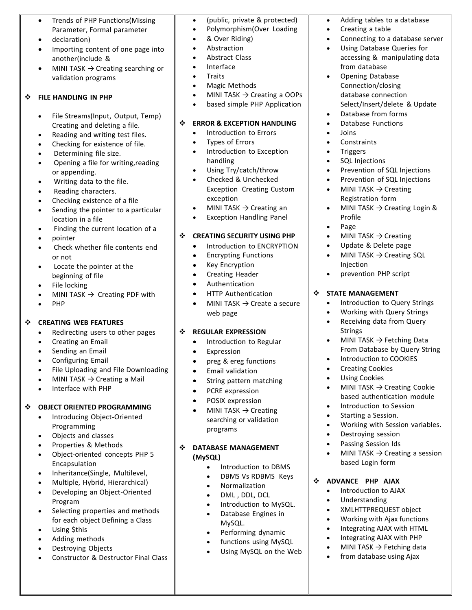- Trends of PHP Functions(Missing Parameter, Formal parameter
- declaration)
- Importing content of one page into another(include &
- MINI TASK  $\rightarrow$  Creating searching or validation programs

## **FILE HANDLING IN PHP**

- File Streams(Input, Output, Temp) Creating and deleting a file.
- Reading and writing test files.
- Checking for existence of file.
- Determining file size.
- Opening a file for writing, reading or appending.
- Writing data to the file.
- Reading characters.
- Checking existence of a file
- Sending the pointer to a particular location in a file
- Finding the current location of a
- pointer
- Check whether file contents end or not
- Locate the pointer at the beginning of file
- File locking
- MINI TASK  $\rightarrow$  Creating PDF with
- PHP

# **CREATING WEB FEATURES**

- Redirecting users to other pages
- Creating an Email
- Sending an Email
- Configuring Email
- File Uploading and File Downloading
- $\bullet$  MINI TASK  $\rightarrow$  Creating a Mail
- Interface with PHP

# **OBJECT ORIENTED PROGRAMMING**

- Introducing Object-Oriented Programming
- Objects and classes
- Properties & Methods
- Object-oriented concepts PHP 5 Encapsulation
- Inheritance(Single, Multilevel,
- Multiple, Hybrid, Hierarchical)
- Developing an Object-Oriented Program
- Selecting properties and methods for each object Defining a Class
- Using \$this
- Adding methods
- Destroying Objects
- Constructor & Destructor Final Class
- (public, private & protected)
- Polymorphism(Over Loading
- & Over Riding)
- Abstraction
- Abstract Class Interface
- **Traits**
- Magic Methods
- MINI TASK  $\rightarrow$  Creating a OOPs
- based simple PHP Application

#### $\div$  **ERROR & EXCEPTION HANDLING**

- Introduction to Errors
- Types of Errors
- Introduction to Exception handling
- Using Try/catch/throw
- Checked & Unchecked Exception Creating Custom exception
- MINI TASK  $\rightarrow$  Creating an
- Exception Handling Panel

# $\div$  CREATING SECURITY USING PHP

- Introduction to ENCRYPTION
- Encrypting Functions
- Key Encryption
- Creating Header
- Authentication
- HTTP Authentication
- MINI TASK  $\rightarrow$  Create a secure web page

# **REGULAR EXPRESSION**

- Introduction to Regular
- Expression
- preg & ereg functions
- Email validation
- String pattern matching
- PCRE expression
- POSIX expression
- MINI TASK  $\rightarrow$  Creating searching or validation programs

#### **DATABASE MANAGEMENT (MySQL)**

- Introduction to DBMS
- DBMS Vs RDBMS Keys
- Normalization
- DML , DDL, DCL
- Introduction to MySQL.
- Database Engines in MySQL.
- Performing dynamic
- functions using MySQL
- Using MySQL on the Web
- Adding tables to a database
- Creating a table
- Connecting to a database server
- Using Database Queries for accessing & manipulating data from database
- Opening Database Connection/closing database connection Select/Insert/delete & Update
- Database from forms Database Functions
- Joins
- 
- Constraints

Profile • Page

Injection

**STATE MANAGEMENT**

Strings

- Triggers
- SQL Injections
- Prevention of SQL Injections
- Prevention of SQL Injections

 $\bullet$  MINI TASK  $\rightarrow$  Creating Login &

 Introduction to Query Strings Working with Query Strings • Receiving data from Query

From Database by Query String

 $\bullet$  MINI TASK  $\rightarrow$  Fetching Data

 $\bullet$  MINI TASK  $\rightarrow$  Creating Cookie based authentication module

Working with Session variables.

MINI TASK  $\rightarrow$  Creating a session

• Introduction to COOKIES

• Introduction to Session • Starting a Session.

 Destroying session Passing Session Ids

based Login form

 Introduction to AJAX Understanding XMLHTTPREQUEST object Working with Ajax functions Integrating AJAX with HTML • Integrating AJAX with PHP MINI TASK  $\rightarrow$  Fetching data from database using Ajax

**ADVANCE PHP AJAX**

**•** Creating Cookies Using Cookies

MINI TASK  $\rightarrow$  Creating Update & Delete page  $\bullet$  MINI TASK  $\rightarrow$  Creating SQL

• prevention PHP script

 $\bullet$  MINI TASK  $\rightarrow$  Creating Registration form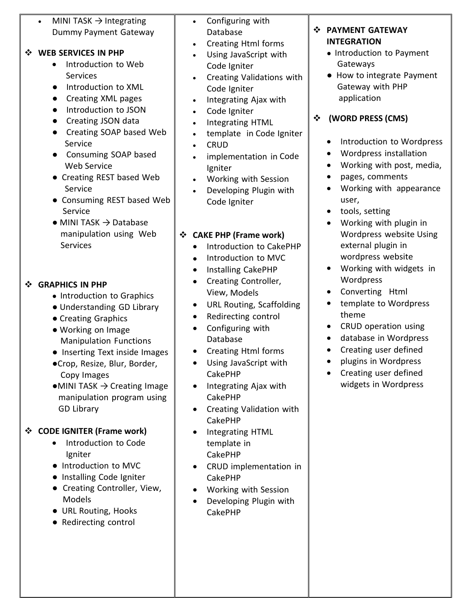| MINI TASK $\rightarrow$ Integrating<br>$\bullet$<br>Dummy Payment Gateway<br><b>WEB SERVICES IN PHP</b><br>❖<br>Introduction to Web<br>Services<br>Introduction to XML<br>$\bullet$<br>Creating XML pages<br>$\bullet$<br>Introduction to JSON<br>$\bullet$<br>Creating JSON data<br>Creating SOAP based Web<br>$\bullet$<br>Service<br>Consuming SOAP based<br><b>Web Service</b><br>• Creating REST based Web<br>Service<br>• Consuming REST based Web<br>Service<br>$\bullet$ MINI TASK $\rightarrow$ Database<br>manipulation using Web<br>Services | Configuring with<br>$\bullet$<br>Database<br><b>Creating Html forms</b><br>$\bullet$<br>Using JavaScript with<br>Code Igniter<br>Creating Validations with<br>$\bullet$<br>Code Igniter<br>Integrating Ajax with<br>$\bullet$<br>Code Igniter<br>$\bullet$<br>Integrating HTML<br>$\bullet$<br>template in Code Igniter<br>$\bullet$<br><b>CRUD</b><br>$\bullet$<br>implementation in Code<br>Igniter<br>Working with Session<br>$\bullet$<br>Developing Plugin with<br>$\bullet$<br>Code Igniter<br><b>CAKE PHP (Frame work)</b><br>❖<br>Introduction to CakePHP<br>$\bullet$<br>Introduction to MVC | <b>PAYMENT GATEWAY</b><br>❖<br><b>INTEGRATION</b><br>• Introduction to Payment<br>Gateways<br>How to integrate Payment<br>Gateway with PHP<br>application<br>(WORD PRESS (CMS)<br>❖<br>Introduction to Wordpress<br>Wordpress installation<br>Working with post, media,<br>pages, comments<br>Working with appearance<br>user,<br>tools, setting<br>Working with plugin in<br>Wordpress website Using<br>external plugin in<br>wordpress website |
|---------------------------------------------------------------------------------------------------------------------------------------------------------------------------------------------------------------------------------------------------------------------------------------------------------------------------------------------------------------------------------------------------------------------------------------------------------------------------------------------------------------------------------------------------------|-------------------------------------------------------------------------------------------------------------------------------------------------------------------------------------------------------------------------------------------------------------------------------------------------------------------------------------------------------------------------------------------------------------------------------------------------------------------------------------------------------------------------------------------------------------------------------------------------------|--------------------------------------------------------------------------------------------------------------------------------------------------------------------------------------------------------------------------------------------------------------------------------------------------------------------------------------------------------------------------------------------------------------------------------------------------|
| <b>GRAPHICS IN PHP</b><br>❖<br>• Introduction to Graphics<br>• Understanding GD Library<br>• Creating Graphics<br>• Working on Image<br><b>Manipulation Functions</b><br>Inserting Text inside Images<br>·Crop, Resize, Blur, Border,<br>Copy Images<br>$\bullet$ MINI TASK $\rightarrow$ Creating Image<br>manipulation program using<br><b>GD Library</b>                                                                                                                                                                                             | <b>Installing CakePHP</b><br>٠<br>Creating Controller,<br>$\bullet$<br>View, Models<br><b>URL Routing, Scaffolding</b><br>$\bullet$<br>Redirecting control<br>$\bullet$<br>Configuring with<br>$\bullet$<br>Database<br>Creating Html forms<br>Using JavaScript with<br><b>CakePHP</b><br>Integrating Ajax with<br>$\bullet$<br><b>CakePHP</b><br>Creating Validation with<br>$\bullet$<br><b>CakePHP</b>                                                                                                                                                                                             | Working with widgets in<br>Wordpress<br>Converting Html<br>$\bullet$<br>template to Wordpress<br>theme<br>CRUD operation using<br>$\bullet$<br>database in Wordpress<br>Creating user defined<br>plugins in Wordpress<br>Creating user defined<br>widgets in Wordpress                                                                                                                                                                           |
| <b>CODE IGNITER (Frame work)</b><br>❖<br>Introduction to Code<br>Igniter<br>• Introduction to MVC<br>Installing Code Igniter<br>Creating Controller, View,<br>Models                                                                                                                                                                                                                                                                                                                                                                                    | Integrating HTML<br>٠<br>template in<br><b>CakePHP</b><br>CRUD implementation in<br><b>CakePHP</b><br>Working with Session<br>Developing Plugin with                                                                                                                                                                                                                                                                                                                                                                                                                                                  |                                                                                                                                                                                                                                                                                                                                                                                                                                                  |

- URL Routing, Hooks
- Redirecting control

 Developing Plugin with CakePHP